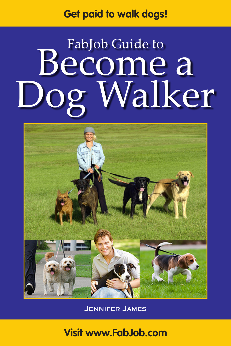# **Get paid to walk dogs!**

# FabJob Guide to Become a Walker



Jennifer James

#### **Visit www.FabJob.com**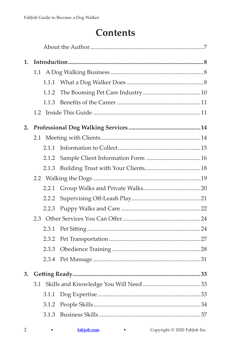### **Contents**

| 1. |       |  |  |  |
|----|-------|--|--|--|
|    |       |  |  |  |
|    | 1.1.1 |  |  |  |
|    | 1.1.2 |  |  |  |
|    | 1.1.3 |  |  |  |
|    |       |  |  |  |
| 2. |       |  |  |  |
|    |       |  |  |  |
|    | 2.1.1 |  |  |  |
|    |       |  |  |  |
|    |       |  |  |  |
|    |       |  |  |  |
|    | 2.2.1 |  |  |  |
|    | 2.2.2 |  |  |  |
|    | 2.2.3 |  |  |  |
|    |       |  |  |  |
|    | 2.3.1 |  |  |  |
|    | 2.3.2 |  |  |  |
|    | 2.3.3 |  |  |  |
|    | 2.3.4 |  |  |  |
| 3. |       |  |  |  |
|    |       |  |  |  |
|    | 3.1.1 |  |  |  |
|    | 3.1.2 |  |  |  |
|    | 3.1.3 |  |  |  |
|    |       |  |  |  |

fabjob.com

 $\bullet$ 

Copyright © 2020 FabJob Inc.

 $\bullet$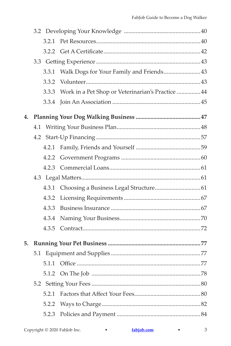|    | 3.2.1 |                                                   |  |  |
|----|-------|---------------------------------------------------|--|--|
|    |       |                                                   |  |  |
|    |       |                                                   |  |  |
|    | 3.3.1 | Walk Dogs for Your Family and Friends 43          |  |  |
|    |       |                                                   |  |  |
|    | 3.3.3 | Work in a Pet Shop or Veterinarian's Practice  44 |  |  |
|    |       |                                                   |  |  |
| 4. |       |                                                   |  |  |
|    |       |                                                   |  |  |
|    |       |                                                   |  |  |
|    |       |                                                   |  |  |
|    |       |                                                   |  |  |
|    |       |                                                   |  |  |
|    |       |                                                   |  |  |
|    | 4.3.1 |                                                   |  |  |
|    | 4.3.2 |                                                   |  |  |
|    | 4.3.3 |                                                   |  |  |
|    | 4.3.4 |                                                   |  |  |
|    |       |                                                   |  |  |
| 5. |       |                                                   |  |  |
|    |       |                                                   |  |  |
|    |       |                                                   |  |  |
|    |       |                                                   |  |  |
|    |       |                                                   |  |  |
|    | 5.2.1 |                                                   |  |  |
|    | 5.2.2 |                                                   |  |  |
|    | 5.2.3 |                                                   |  |  |
|    |       |                                                   |  |  |

 $\bullet$  .

 $\bullet$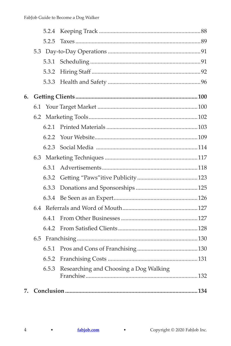|    | 5.2.4 |                                        |  |  |  |
|----|-------|----------------------------------------|--|--|--|
|    | 5.2.5 |                                        |  |  |  |
|    |       |                                        |  |  |  |
|    | 5.3.1 |                                        |  |  |  |
|    | 5.3.2 |                                        |  |  |  |
|    | 5.3.3 |                                        |  |  |  |
| 6. |       |                                        |  |  |  |
|    | 6.1   |                                        |  |  |  |
|    | 6.2   |                                        |  |  |  |
|    | 6.2.1 |                                        |  |  |  |
|    | 6.2.2 |                                        |  |  |  |
|    | 6.2.3 |                                        |  |  |  |
|    |       |                                        |  |  |  |
|    | 6.3.1 |                                        |  |  |  |
|    | 6.3.2 |                                        |  |  |  |
|    | 6.3.3 |                                        |  |  |  |
|    | 6.3.4 |                                        |  |  |  |
|    |       |                                        |  |  |  |
|    | 6.4.1 |                                        |  |  |  |
|    | 6.4.2 |                                        |  |  |  |
|    |       |                                        |  |  |  |
|    | 6.5.1 |                                        |  |  |  |
|    | 6.5.2 |                                        |  |  |  |
|    | 6.5.3 | Researching and Choosing a Dog Walking |  |  |  |
| 7. |       |                                        |  |  |  |
|    |       |                                        |  |  |  |

 $\bullet$ 

 $\bullet$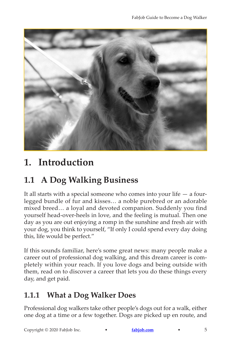<span id="page-4-0"></span>

# **1. Introduction**

### **1.1 A Dog Walking Business**

It all starts with a special someone who comes into your life  $-$  a fourlegged bundle of fur and kisses… a noble purebred or an adorable mixed breed… a loyal and devoted companion. Suddenly you find yourself head-over-heels in love, and the feeling is mutual. Then one day as you are out enjoying a romp in the sunshine and fresh air with your dog, you think to yourself, "If only I could spend every day doing this, life would be perfect."

If this sounds familiar, here's some great news: many people make a career out of professional dog walking, and this dream career is completely within your reach. If you love dogs and being outside with them, read on to discover a career that lets you do these things every day, and get paid.

#### **1.1.1 What a Dog Walker Does**

Professional dog walkers take other people's dogs out for a walk, either one dog at a time or a few together. Dogs are picked up en route, and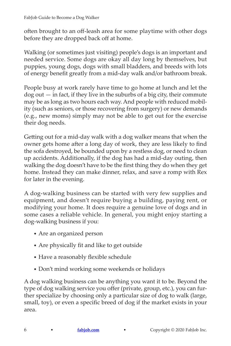often brought to an off-leash area for some playtime with other dogs before they are dropped back off at home.

Walking (or sometimes just visiting) people's dogs is an important and needed service. Some dogs are okay all day long by themselves, but puppies, young dogs, dogs with small bladders, and breeds with lots of energy benefit greatly from a mid-day walk and/or bathroom break.

People busy at work rarely have time to go home at lunch and let the  $\log$  out  $-$  in fact, if they live in the suburbs of a big city, their commute may be as long as two hours each way. And people with reduced mobility (such as seniors, or those recovering from surgery) or new demands (e.g., new moms) simply may not be able to get out for the exercise their dog needs.

Getting out for a mid-day walk with a dog walker means that when the owner gets home after a long day of work, they are less likely to find the sofa destroyed, be bounded upon by a restless dog, or need to clean up accidents. Additionally, if the dog has had a mid-day outing, then walking the dog doesn't have to be the first thing they do when they get home. Instead they can make dinner, relax, and save a romp with Rex for later in the evening.

A dog-walking business can be started with very few supplies and equipment, and doesn't require buying a building, paying rent, or modifying your home. It does require a genuine love of dogs and in some cases a reliable vehicle. In general, you might enjoy starting a dog-walking business if you:

- Are an organized person
- Are physically fit and like to get outside
- Have a reasonably flexible schedule
- Don't mind working some weekends or holidays

A dog walking business can be anything you want it to be. Beyond the type of dog walking service you offer (private, group, etc.), you can further specialize by choosing only a particular size of dog to walk (large, small, toy), or even a specific breed of dog if the market exists in your area.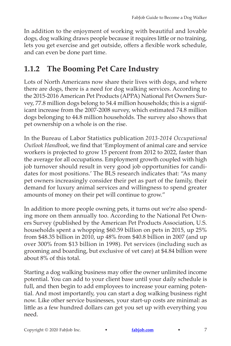<span id="page-6-0"></span>In addition to the enjoyment of working with beautiful and lovable dogs, dog walking draws people because it requires little or no training, lets you get exercise and get outside, offers a flexible work schedule, and can even be done part time.

#### **1.1.2 The Booming Pet Care Industry**

Lots of North Americans now share their lives with dogs, and where there are dogs, there is a need for dog walking services. According to the 2015-2016 American Pet Products (APPA) National Pet Owners Survey, 77.8 million dogs belong to 54.4 million households; this is a significant increase from the 2007-2008 survey, which estimated 74.8 million dogs belonging to 44.8 million households. The survey also shows that pet ownership on a whole is on the rise.

In the Bureau of Labor Statistics publication *2013-2014 Occupational Outlook Handbook*, we find that 'Employment of animal care and service workers is projected to grow 15 percent from 2012 to 2022, faster than the average for all occupations. Employment growth coupled with high job turnover should result in very good job opportunities for candidates for most positions.' The BLS research indicates that: "As many pet owners increasingly consider their pet as part of the family, their demand for luxury animal services and willingness to spend greater amounts of money on their pet will continue to grow."

In addition to more people owning pets, it turns out we're also spending more on them annually too. According to the National Pet Owners Survey (published by the American Pet Products Association, U.S. households spent a whopping \$60.59 billion on pets in 2015, up 25% from \$48.35 billion in 2010, up 48% from \$40.8 billion in 2007 (and up over 300% from \$13 billion in 1998). Pet services (including such as grooming and boarding, but exclusive of vet care) at \$4.84 billion were about 8% of this total.

Starting a dog walking business may offer the owner unlimited income potential. You can add to your client base until your daily schedule is full, and then begin to add employees to increase your earning potential. And most importantly, you can start a dog walking business right now. Like other service businesses, your start-up costs are minimal: as little as a few hundred dollars can get you set up with everything you need.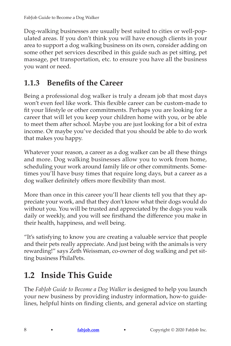<span id="page-7-0"></span>Dog-walking businesses are usually best suited to cities or well-populated areas. If you don't think you will have enough clients in your area to support a dog walking business on its own, consider adding on some other pet services described in this guide such as pet sitting, pet massage, pet transportation, etc. to ensure you have all the business you want or need.

#### **1.1.3 Benefits of the Career**

Being a professional dog walker is truly a dream job that most days won't even feel like work. This flexible career can be custom-made to fit your lifestyle or other commitments. Perhaps you are looking for a career that will let you keep your children home with you, or be able to meet them after school. Maybe you are just looking for a bit of extra income. Or maybe you've decided that you should be able to do work that makes you happy.

Whatever your reason, a career as a dog walker can be all these things and more. Dog walking businesses allow you to work from home, scheduling your work around family life or other commitments. Sometimes you'll have busy times that require long days, but a career as a dog walker definitely offers more flexibility than most.

More than once in this career you'll hear clients tell you that they appreciate your work, and that they don't know what their dogs would do without you. You will be trusted and appreciated by the dogs you walk daily or weekly, and you will see firsthand the difference you make in their health, happiness, and well being.

"It's satisfying to know you are creating a valuable service that people and their pets really appreciate. And just being with the animals is very rewarding!" says Zeth Weissman, co-owner of dog walking and pet sitting business PhilaPets.

### **1.2 Inside This Guide**

The *FabJob Guide to Become a Dog Walker* is designed to help you launch your new business by providing industry information, how-to guidelines, helpful hints on finding clients, and general advice on starting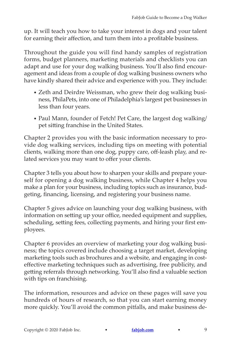up. It will teach you how to take your interest in dogs and your talent for earning their affection, and turn them into a profitable business.

Throughout the guide you will find handy samples of registration forms, budget planners, marketing materials and checklists you can adapt and use for your dog walking business. You'll also find encouragement and ideas from a couple of dog walking business owners who have kindly shared their advice and experience with you. They include:

- Zeth and Deirdre Weissman, who grew their dog walking business, PhilaPets, into one of Philadelphia's largest pet businesses in less than four years.
- Paul Mann, founder of Fetch! Pet Care, the largest dog walking/ pet sitting franchise in the United States.

Chapter 2 provides you with the basic information necessary to provide dog walking services, including tips on meeting with potential clients, walking more than one dog, puppy care, off-leash play, and related services you may want to offer your clients.

Chapter 3 tells you about how to sharpen your skills and prepare yourself for opening a dog walking business, while Chapter 4 helps you make a plan for your business, including topics such as insurance, budgeting, financing, licensing, and registering your business name.

Chapter 5 gives advice on launching your dog walking business, with information on setting up your office, needed equipment and supplies, scheduling, setting fees, collecting payments, and hiring your first employees.

Chapter 6 provides an overview of marketing your dog walking business; the topics covered include choosing a target market, developing marketing tools such as brochures and a website, and engaging in costeffective marketing techniques such as advertising, free publicity, and getting referrals through networking. You'll also find a valuable section with tips on franchising.

The information, resources and advice on these pages will save you hundreds of hours of research, so that you can start earning money more quickly. You'll avoid the common pitfalls, and make business de